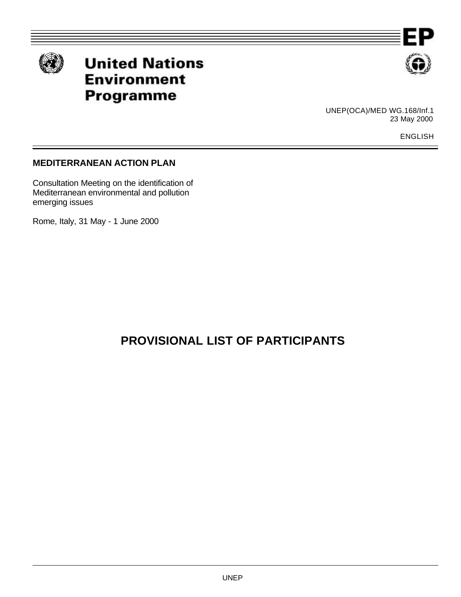



# **United Nations Environment Programme**



UNEP(OCA)/MED WG.168/Inf.1 23 May 2000

ENGLISH

### **MEDITERRANEAN ACTION PLAN**

Consultation Meeting on the identification of Mediterranean environmental and pollution emerging issues

Rome, Italy, 31 May - 1 June 2000

## **PROVISIONAL LIST OF PARTICIPANTS**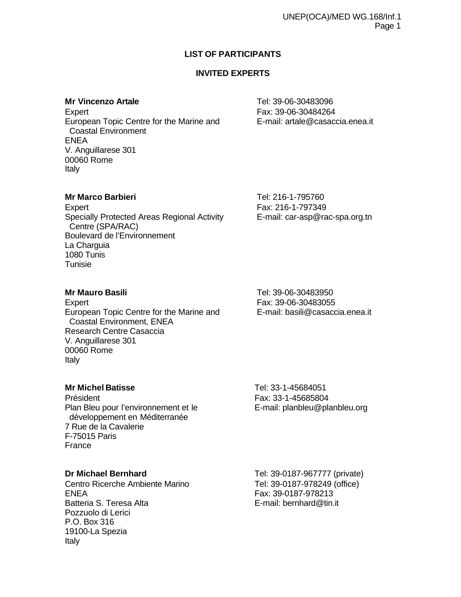### **LIST OF PARTICIPANTS**

### **INVITED EXPERTS**

Expert **Fax: 39-06-30484264** European Topic Centre for the Marine and E-mail: artale@casaccia.enea.it Coastal Environment ENEA V. Anguillarese 301 00060 Rome Italy

**Mr Vincenzo Artale** Tel: 39-06-30483096

### **Mr Marco Barbieri** Tel: 216-1-795760

Expert **Fax: 216-1-797349** Specially Protected Areas Regional Activity E-mail: car-asp@rac-spa.org.tn Centre (SPA/RAC) Boulevard de l'Environnement La Charguia 1080 Tunis **Tunisie** 

Expert Fax: 39-06-30483055 European Topic Centre for the Marine and E-mail: basili@casaccia.enea.it Coastal Environment, ENEA Research Centre Casaccia V. Anguillarese 301 00060 Rome Italy

**Mr Mauro Basili** Tel: 39-06-30483950

### **Mr Michel Batisse Tel: 33-1-45684051**

Président Fax: 33-1-45685804 Plan Bleu pour l'environnement et le E-mail: planbleu@planbleu.org développement en Méditerranée 7 Rue de la Cavalerie F-75015 Paris France

Centro Ricerche Ambiente Marino Tel: 39-0187-978249 (office) ENEA Fax: 39-0187-978213 Batteria S. Teresa Alta **E-mail:** bernhard@tin.it Pozzuolo di Lerici P.O. Box 316 19100-La Spezia Italy

**Dr Michael Bernhard** Tel: 39-0187-967777 (private)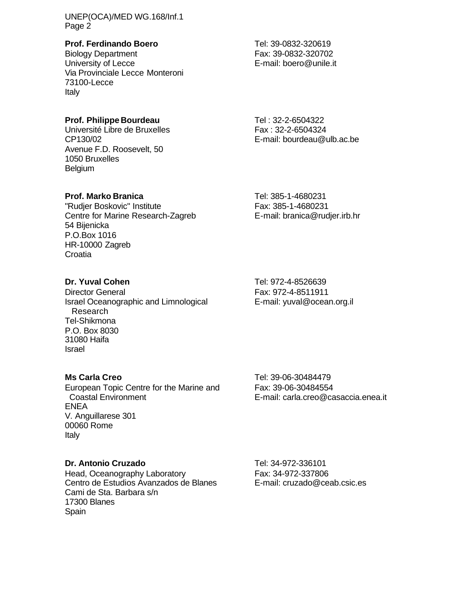UNEP(OCA)/MED WG.168/Inf.1 Page 2

### **Prof. Ferdinando Boero** Tel: 39-0832-320619

Biology Department<br>
University of Lecce<br>
University of Lecce<br>
F-mail: boero@unile.it Via Provinciale Lecce Monteroni 73100-Lecce Italy

### **Prof. Philippe Bourdeau** Tel: 32-2-6504322

Université Libre de Bruxelles Fax : 32-2-6504324 CP130/02 E-mail: bourdeau@ulb.ac.be Avenue F.D. Roosevelt, 50 1050 Bruxelles Belgium

### **Prof. Marko Branica** Tel: 385-1-4680231

"Rudjer Boskovic" Institute Fax: 385-1-4680231 Centre for Marine Research-Zagreb E-mail: branica@rudjer.irb.hr 54 Bijenicka P.O.Box 1016 HR-10000 Zagreb **Croatia** 

Director General Fax: 972-4-8511911 Israel Oceanographic and Limnological E-mail: yuval@ocean.org.il Research Tel-Shikmona P.O. Box 8030 31080 Haifa Israel

European Topic Centre for the Marine and Fax: 39-06-30484554 Coastal Environment E-mail: carla.creo@casaccia.enea.it ENEA V. Anguillarese 301 00060 Rome Italy

#### **Dr. Antonio Cruzado** Tel: 34-972-336101

Head, Oceanography Laboratory<br>
Centro de Estudios Avanzados de Blanes<br>
E-mail: cruzado@ceab.csic.es Centro de Estudios Ávanzados de Blanes Cami de Sta. Barbara s/n 17300 Blanes Spain

E-mail: boero@unile.it

**Dr. Yuval Cohen** Tel: 972-4-8526639

**Ms Carla Creo** Tel: 39-06-30484479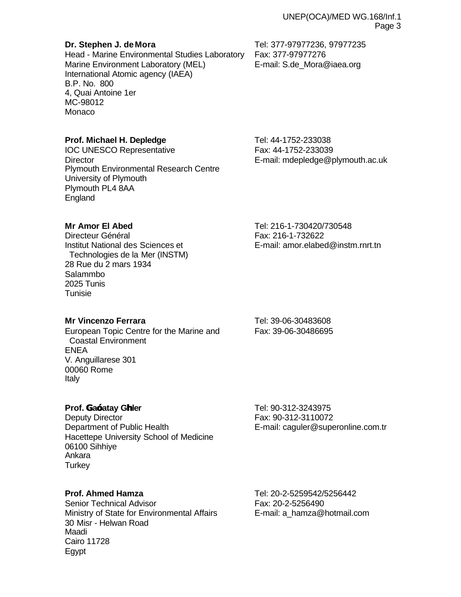Head - Marine Environmental Studies Laboratory Fax: 377-97977276 Marine Environment Laboratory (MEL) E-mail: S.de\_Mora@iaea.org International Atomic agency (IAEA) B.P. No. 800 4, Quai Antoine 1er MC-98012 Monaco

### **Prof. Michael H. Depledge** Tel: 44-1752-233038

IOC UNESCO Representative Fax: 44-1752-233039 Director E-mail: mdepledge@plymouth.ac.uk Plymouth Environmental Research Centre University of Plymouth Plymouth PL4 8AA England

Directeur Général **Fax: 216-1-732622**  Technologies de la Mer (INSTM) 28 Rue du 2 mars 1934 Salammbo 2025 Tunis Tunisie

**Mr Vincenzo Ferrara** Tel: 39-06-30483608

European Topic Centre for the Marine and Fax: 39-06-30486695 Coastal Environment ENEA V. Anguillarese 301 00060 Rome Italy

#### **Prof. Ga—atay Ghler** Tel: 90-312-3243975

Deputy Director **Fax: 90-312-3110072** Department of Public Health **E-mail: caguler@superonline.com.tr** Hacettepe University School of Medicine 06100 Sihhiye Ankara **Turkey** 

Senior Technical Advisor **Fax: 20-2-5256490** Ministry of State for Environmental Affairs E-mail: a hamza@hotmail.com 30 Misr - Helwan Road Maadi Cairo 11728 Egypt

**Prof. Ahmed Hamza** Tel: 20-2-5259542/5256442

**Mr Amor El Abed** Tel: 216-1-730420/730548

Institut National des Sciences et E-mail: amor.elabed@instm.rnrt.tn

**Dr. Stephen J. de Mora** Tel: 377-97977236, 97977235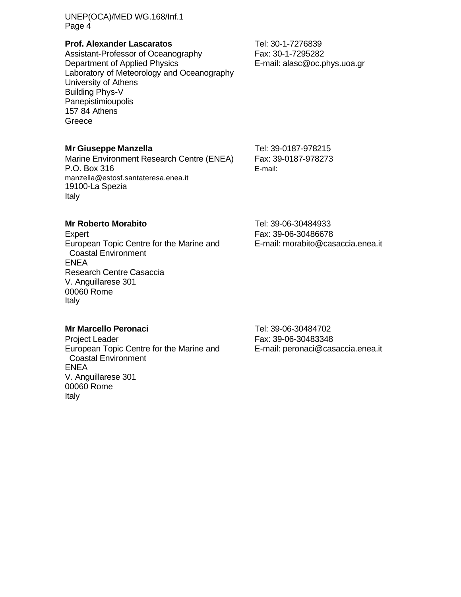UNEP(OCA)/MED WG.168/Inf.1 Page 4

#### **Prof. Alexander Lascaratos** Tel: 30-1-7276839

Assistant-Professor of Oceanography Fax: 30-1-7295282 Department of Applied Physics **E-mail: alasc@oc.phys.uoa.gr** Laboratory of Meteorology and Oceanography University of Athens Building Phys-V **Panepistimioupolis** 157 84 Athens **Greece** 

#### **Mr Giuseppe Manzella** Tel: 39-0187-978215

Marine Environment Research Centre (ENEA) Fax: 39-0187-978273 P.O. Box 316 E-mail: manzella@estosf.santateresa.enea.it 19100-La Spezia Italy

#### **Mr Roberto Morabito Mr Roberto Morabito Tel: 39-06-30484933**

Expert Fax: 39-06-30486678 European Topic Centre for the Marine and E-mail: morabito@casaccia.enea.it Coastal Environment ENEA Research Centre Casaccia V. Anguillarese 301 00060 Rome Italy

### **Mr Marcello Peronaci** Tel: 39-06-30484702

Project Leader **Fax: 39-06-30483348** European Topic Centre for the Marine and E-mail: peronaci@casaccia.enea.it Coastal Environment ENEA V. Anguillarese 301 00060 Rome Italy